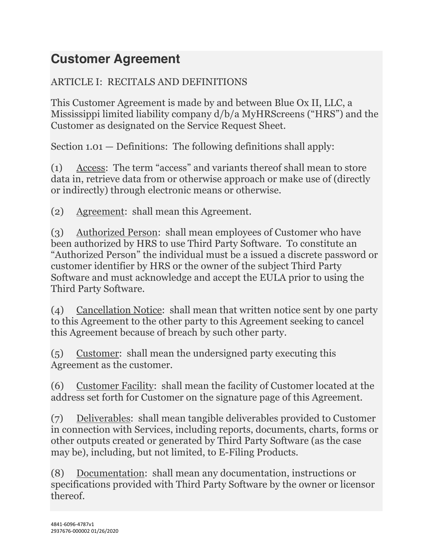## **Customer Agreement**

## ARTICLE I: RECITALS AND DEFINITIONS

This Customer Agreement is made by and between Blue Ox II, LLC, a Mississippi limited liability company d/b/a MyHRScreens ("HRS") and the Customer as designated on the Service Request Sheet.

Section 1.01 — Definitions: The following definitions shall apply:

(1) Access: The term "access" and variants thereof shall mean to store data in, retrieve data from or otherwise approach or make use of (directly or indirectly) through electronic means or otherwise.

(2) Agreement: shall mean this Agreement.

(3) Authorized Person: shall mean employees of Customer who have been authorized by HRS to use Third Party Software. To constitute an "Authorized Person" the individual must be a issued a discrete password or customer identifier by HRS or the owner of the subject Third Party Software and must acknowledge and accept the EULA prior to using the Third Party Software.

(4) Cancellation Notice: shall mean that written notice sent by one party to this Agreement to the other party to this Agreement seeking to cancel this Agreement because of breach by such other party.

(5) Customer: shall mean the undersigned party executing this Agreement as the customer.

(6) Customer Facility: shall mean the facility of Customer located at the address set forth for Customer on the signature page of this Agreement.

(7) Deliverables: shall mean tangible deliverables provided to Customer in connection with Services, including reports, documents, charts, forms or other outputs created or generated by Third Party Software (as the case may be), including, but not limited, to E-Filing Products.

(8) Documentation: shall mean any documentation, instructions or specifications provided with Third Party Software by the owner or licensor thereof.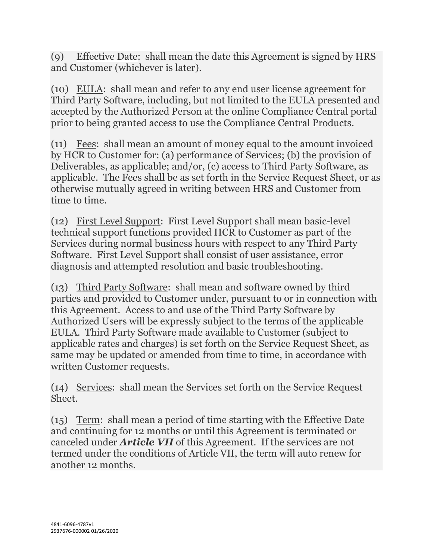(9) Effective Date: shall mean the date this Agreement is signed by HRS and Customer (whichever is later).

(10) EULA: shall mean and refer to any end user license agreement for Third Party Software, including, but not limited to the EULA presented and accepted by the Authorized Person at the online Compliance Central portal prior to being granted access to use the Compliance Central Products.

(11) Fees: shall mean an amount of money equal to the amount invoiced by HCR to Customer for: (a) performance of Services; (b) the provision of Deliverables, as applicable; and/or, (c) access to Third Party Software, as applicable. The Fees shall be as set forth in the Service Request Sheet, or as otherwise mutually agreed in writing between HRS and Customer from time to time.

(12) First Level Support: First Level Support shall mean basic-level technical support functions provided HCR to Customer as part of the Services during normal business hours with respect to any Third Party Software. First Level Support shall consist of user assistance, error diagnosis and attempted resolution and basic troubleshooting.

(13) Third Party Software: shall mean and software owned by third parties and provided to Customer under, pursuant to or in connection with this Agreement. Access to and use of the Third Party Software by Authorized Users will be expressly subject to the terms of the applicable EULA. Third Party Software made available to Customer (subject to applicable rates and charges) is set forth on the Service Request Sheet, as same may be updated or amended from time to time, in accordance with written Customer requests.

(14) Services: shall mean the Services set forth on the Service Request Sheet.

(15) Term: shall mean a period of time starting with the Effective Date and continuing for 12 months or until this Agreement is terminated or canceled under *Article VII* of this Agreement. If the services are not termed under the conditions of Article VII, the term will auto renew for another 12 months.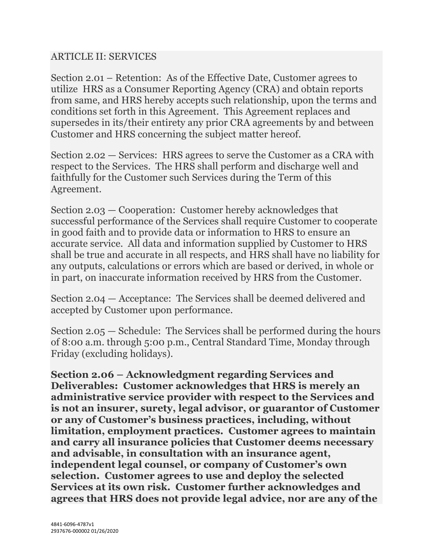#### ARTICLE II: SERVICES

Section 2.01 – Retention: As of the Effective Date, Customer agrees to utilize HRS as a Consumer Reporting Agency (CRA) and obtain reports from same, and HRS hereby accepts such relationship, upon the terms and conditions set forth in this Agreement. This Agreement replaces and supersedes in its/their entirety any prior CRA agreements by and between Customer and HRS concerning the subject matter hereof.

Section 2.02 — Services: HRS agrees to serve the Customer as a CRA with respect to the Services. The HRS shall perform and discharge well and faithfully for the Customer such Services during the Term of this Agreement.

Section 2.03 — Cooperation: Customer hereby acknowledges that successful performance of the Services shall require Customer to cooperate in good faith and to provide data or information to HRS to ensure an accurate service. All data and information supplied by Customer to HRS shall be true and accurate in all respects, and HRS shall have no liability for any outputs, calculations or errors which are based or derived, in whole or in part, on inaccurate information received by HRS from the Customer.

Section 2.04 — Acceptance: The Services shall be deemed delivered and accepted by Customer upon performance.

Section 2.05 — Schedule: The Services shall be performed during the hours of 8:00 a.m. through 5:00 p.m., Central Standard Time, Monday through Friday (excluding holidays).

**Section 2.06 – Acknowledgment regarding Services and Deliverables: Customer acknowledges that HRS is merely an administrative service provider with respect to the Services and is not an insurer, surety, legal advisor, or guarantor of Customer or any of Customer's business practices, including, without limitation, employment practices. Customer agrees to maintain and carry all insurance policies that Customer deems necessary and advisable, in consultation with an insurance agent, independent legal counsel, or company of Customer's own selection. Customer agrees to use and deploy the selected Services at its own risk. Customer further acknowledges and agrees that HRS does not provide legal advice, nor are any of the**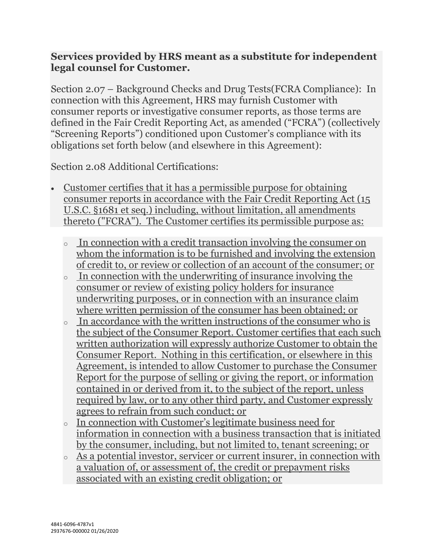### **Services provided by HRS meant as a substitute for independent legal counsel for Customer.**

Section 2.07 – Background Checks and Drug Tests(FCRA Compliance): In connection with this Agreement, HRS may furnish Customer with consumer reports or investigative consumer reports, as those terms are defined in the Fair Credit Reporting Act, as amended ("FCRA") (collectively "Screening Reports") conditioned upon Customer's compliance with its obligations set forth below (and elsewhere in this Agreement):

Section 2.08 Additional Certifications:

- Customer certifies that it has a permissible purpose for obtaining consumer reports in accordance with the Fair Credit Reporting Act (15 U.S.C. §1681 et seq.) including, without limitation, all amendments thereto ("FCRA"). The Customer certifies its permissible purpose as:
	- $\circ$  In connection with a credit transaction involving the consumer on whom the information is to be furnished and involving the extension of credit to, or review or collection of an account of the consumer; or
	- In connection with the underwriting of insurance involving the consumer or review of existing policy holders for insurance underwriting purposes, or in connection with an insurance claim where written permission of the consumer has been obtained; or
	- $\circ$  In accordance with the written instructions of the consumer who is the subject of the Consumer Report. Customer certifies that each such written authorization will expressly authorize Customer to obtain the Consumer Report. Nothing in this certification, or elsewhere in this Agreement, is intended to allow Customer to purchase the Consumer Report for the purpose of selling or giving the report, or information contained in or derived from it, to the subject of the report, unless required by law, or to any other third party, and Customer expressly agrees to refrain from such conduct; or
	- o In connection with Customer's legitimate business need for information in connection with a business transaction that is initiated by the consumer, including, but not limited to, tenant screening; or
	- o As a potential investor, servicer or current insurer, in connection with a valuation of, or assessment of, the credit or prepayment risks associated with an existing credit obligation; or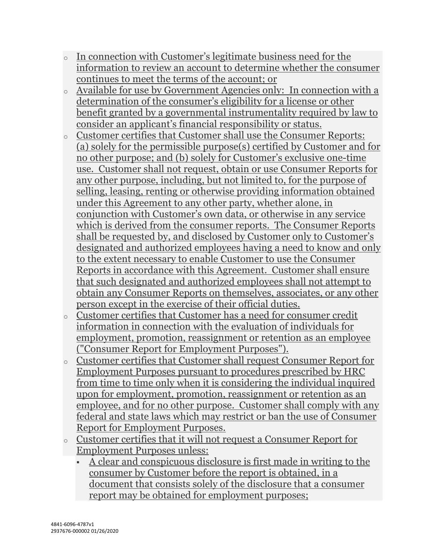- o In connection with Customer's legitimate business need for the information to review an account to determine whether the consumer continues to meet the terms of the account; or
- o Available for use by Government Agencies only: In connection with a determination of the consumer's eligibility for a license or other benefit granted by a governmental instrumentality required by law to consider an applicant's financial responsibility or status.
- o Customer certifies that Customer shall use the Consumer Reports: (a) solely for the permissible purpose(s) certified by Customer and for no other purpose; and (b) solely for Customer's exclusive one-time use. Customer shall not request, obtain or use Consumer Reports for any other purpose, including, but not limited to, for the purpose of selling, leasing, renting or otherwise providing information obtained under this Agreement to any other party, whether alone, in conjunction with Customer's own data, or otherwise in any service which is derived from the consumer reports. The Consumer Reports shall be requested by, and disclosed by Customer only to Customer's designated and authorized employees having a need to know and only to the extent necessary to enable Customer to use the Consumer Reports in accordance with this Agreement. Customer shall ensure that such designated and authorized employees shall not attempt to obtain any Consumer Reports on themselves, associates, or any other person except in the exercise of their official duties.
- o Customer certifies that Customer has a need for consumer credit information in connection with the evaluation of individuals for employment, promotion, reassignment or retention as an employee ("Consumer Report for Employment Purposes").
- o Customer certifies that Customer shall request Consumer Report for Employment Purposes pursuant to procedures prescribed by HRC from time to time only when it is considering the individual inquired upon for employment, promotion, reassignment or retention as an employee, and for no other purpose. Customer shall comply with any federal and state laws which may restrict or ban the use of Consumer Report for Employment Purposes.
- o Customer certifies that it will not request a Consumer Report for Employment Purposes unless:
	- § A clear and conspicuous disclosure is first made in writing to the consumer by Customer before the report is obtained, in a document that consists solely of the disclosure that a consumer report may be obtained for employment purposes;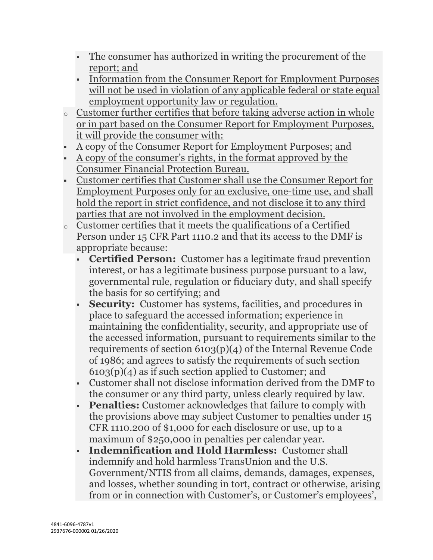- § The consumer has authorized in writing the procurement of the report; and
- Information from the Consumer Report for Employment Purposes will not be used in violation of any applicable federal or state equal employment opportunity law or regulation.
- o Customer further certifies that before taking adverse action in whole or in part based on the Consumer Report for Employment Purposes, it will provide the consumer with:
- § A copy of the Consumer Report for Employment Purposes; and
- § A copy of the consumer's rights, in the format approved by the Consumer Financial Protection Bureau.
- § Customer certifies that Customer shall use the Consumer Report for Employment Purposes only for an exclusive, one-time use, and shall hold the report in strict confidence, and not disclose it to any third parties that are not involved in the employment decision.
- o Customer certifies that it meets the qualifications of a Certified Person under 15 CFR Part 1110.2 and that its access to the DMF is appropriate because:
	- § **Certified Person:** Customer has a legitimate fraud prevention interest, or has a legitimate business purpose pursuant to a law, governmental rule, regulation or fiduciary duty, and shall specify the basis for so certifying; and
	- § **Security:** Customer has systems, facilities, and procedures in place to safeguard the accessed information; experience in maintaining the confidentiality, security, and appropriate use of the accessed information, pursuant to requirements similar to the requirements of section 6103(p)(4) of the Internal Revenue Code of 1986; and agrees to satisfy the requirements of such section 6103(p)(4) as if such section applied to Customer; and
	- § Customer shall not disclose information derived from the DMF to the consumer or any third party, unless clearly required by law.
	- **Penalties:** Customer acknowledges that failure to comply with the provisions above may subject Customer to penalties under 15 CFR 1110.200 of \$1,000 for each disclosure or use, up to a maximum of \$250,000 in penalties per calendar year.
	- § **Indemnification and Hold Harmless:** Customer shall indemnify and hold harmless TransUnion and the U.S. Government/NTIS from all claims, demands, damages, expenses, and losses, whether sounding in tort, contract or otherwise, arising from or in connection with Customer's, or Customer's employees',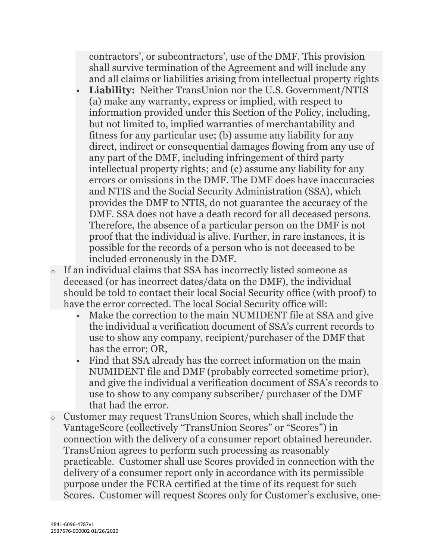contractors', or subcontractors', use of the DMF. This provision shall survive termination of the Agreement and will include any and all claims or liabilities arising from intellectual property rights

- § **Liability:** Neither TransUnion nor the U.S. Government/NTIS (a) make any warranty, express or implied, with respect to information provided under this Section of the Policy, including, but not limited to, implied warranties of merchantability and fitness for any particular use; (b) assume any liability for any direct, indirect or consequential damages flowing from any use of any part of the DMF, including infringement of third party intellectual property rights; and (c) assume any liability for any errors or omissions in the DMF. The DMF does have inaccuracies and NTIS and the Social Security Administration (SSA), which provides the DMF to NTIS, do not guarantee the accuracy of the DMF. SSA does not have a death record for all deceased persons. Therefore, the absence of a particular person on the DMF is not proof that the individual is alive. Further, in rare instances, it is possible for the records of a person who is not deceased to be included erroneously in the DMF.
- o If an individual claims that SSA has incorrectly listed someone as deceased (or has incorrect dates/data on the DMF), the individual should be told to contact their local Social Security office (with proof) to have the error corrected. The local Social Security office will:
	- Make the correction to the main NUMIDENT file at SSA and give the individual a verification document of SSA's current records to use to show any company, recipient/purchaser of the DMF that has the error; OR,
	- Find that SSA already has the correct information on the main NUMIDENT file and DMF (probably corrected sometime prior), and give the individual a verification document of SSA's records to use to show to any company subscriber/ purchaser of the DMF that had the error.
- Customer may request TransUnion Scores, which shall include the VantageScore (collectively "TransUnion Scores" or "Scores") in connection with the delivery of a consumer report obtained hereunder. TransUnion agrees to perform such processing as reasonably practicable. Customer shall use Scores provided in connection with the delivery of a consumer report only in accordance with its permissible purpose under the FCRA certified at the time of its request for such Scores. Customer will request Scores only for Customer's exclusive, one-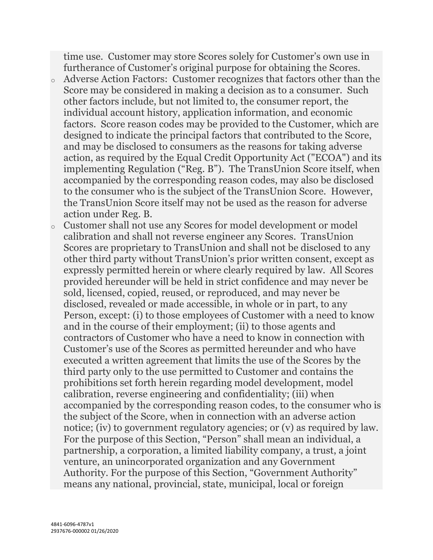time use. Customer may store Scores solely for Customer's own use in furtherance of Customer's original purpose for obtaining the Scores.

- o Adverse Action Factors: Customer recognizes that factors other than the Score may be considered in making a decision as to a consumer. Such other factors include, but not limited to, the consumer report, the individual account history, application information, and economic factors. Score reason codes may be provided to the Customer, which are designed to indicate the principal factors that contributed to the Score, and may be disclosed to consumers as the reasons for taking adverse action, as required by the Equal Credit Opportunity Act ("ECOA") and its implementing Regulation ("Reg. B"). The TransUnion Score itself, when accompanied by the corresponding reason codes, may also be disclosed to the consumer who is the subject of the TransUnion Score. However, the TransUnion Score itself may not be used as the reason for adverse action under Reg. B.
- o Customer shall not use any Scores for model development or model calibration and shall not reverse engineer any Scores. TransUnion Scores are proprietary to TransUnion and shall not be disclosed to any other third party without TransUnion's prior written consent, except as expressly permitted herein or where clearly required by law. All Scores provided hereunder will be held in strict confidence and may never be sold, licensed, copied, reused, or reproduced, and may never be disclosed, revealed or made accessible, in whole or in part, to any Person, except: (i) to those employees of Customer with a need to know and in the course of their employment; (ii) to those agents and contractors of Customer who have a need to know in connection with Customer's use of the Scores as permitted hereunder and who have executed a written agreement that limits the use of the Scores by the third party only to the use permitted to Customer and contains the prohibitions set forth herein regarding model development, model calibration, reverse engineering and confidentiality; (iii) when accompanied by the corresponding reason codes, to the consumer who is the subject of the Score, when in connection with an adverse action notice; (iv) to government regulatory agencies; or (v) as required by law. For the purpose of this Section, "Person" shall mean an individual, a partnership, a corporation, a limited liability company, a trust, a joint venture, an unincorporated organization and any Government Authority. For the purpose of this Section, "Government Authority" means any national, provincial, state, municipal, local or foreign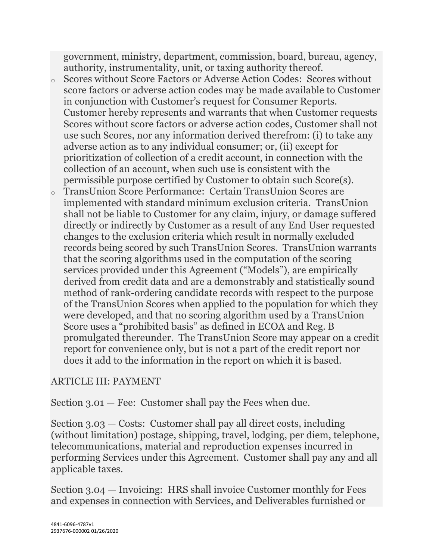government, ministry, department, commission, board, bureau, agency, authority, instrumentality, unit, or taxing authority thereof.

- o Scores without Score Factors or Adverse Action Codes: Scores without score factors or adverse action codes may be made available to Customer in conjunction with Customer's request for Consumer Reports. Customer hereby represents and warrants that when Customer requests Scores without score factors or adverse action codes, Customer shall not use such Scores, nor any information derived therefrom: (i) to take any adverse action as to any individual consumer; or, (ii) except for prioritization of collection of a credit account, in connection with the collection of an account, when such use is consistent with the permissible purpose certified by Customer to obtain such Score(s).
- o TransUnion Score Performance: Certain TransUnion Scores are implemented with standard minimum exclusion criteria. TransUnion shall not be liable to Customer for any claim, injury, or damage suffered directly or indirectly by Customer as a result of any End User requested changes to the exclusion criteria which result in normally excluded records being scored by such TransUnion Scores. TransUnion warrants that the scoring algorithms used in the computation of the scoring services provided under this Agreement ("Models"), are empirically derived from credit data and are a demonstrably and statistically sound method of rank-ordering candidate records with respect to the purpose of the TransUnion Scores when applied to the population for which they were developed, and that no scoring algorithm used by a TransUnion Score uses a "prohibited basis" as defined in ECOA and Reg. B promulgated thereunder. The TransUnion Score may appear on a credit report for convenience only, but is not a part of the credit report nor does it add to the information in the report on which it is based.

#### ARTICLE III: PAYMENT

Section 3.01 — Fee: Customer shall pay the Fees when due.

Section 3.03 — Costs: Customer shall pay all direct costs, including (without limitation) postage, shipping, travel, lodging, per diem, telephone, telecommunications, material and reproduction expenses incurred in performing Services under this Agreement. Customer shall pay any and all applicable taxes.

Section 3.04 — Invoicing: HRS shall invoice Customer monthly for Fees and expenses in connection with Services, and Deliverables furnished or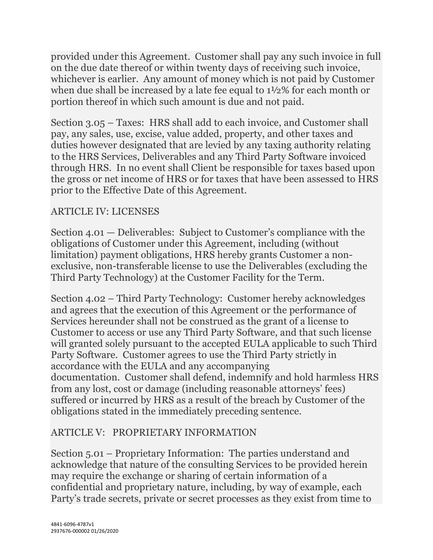provided under this Agreement. Customer shall pay any such invoice in full on the due date thereof or within twenty days of receiving such invoice, whichever is earlier. Any amount of money which is not paid by Customer when due shall be increased by a late fee equal to 1½% for each month or portion thereof in which such amount is due and not paid.

Section 3.05 – Taxes: HRS shall add to each invoice, and Customer shall pay, any sales, use, excise, value added, property, and other taxes and duties however designated that are levied by any taxing authority relating to the HRS Services, Deliverables and any Third Party Software invoiced through HRS. In no event shall Client be responsible for taxes based upon the gross or net income of HRS or for taxes that have been assessed to HRS prior to the Effective Date of this Agreement.

### ARTICLE IV: LICENSES

Section 4.01 — Deliverables: Subject to Customer's compliance with the obligations of Customer under this Agreement, including (without limitation) payment obligations, HRS hereby grants Customer a nonexclusive, non-transferable license to use the Deliverables (excluding the Third Party Technology) at the Customer Facility for the Term.

Section 4.02 – Third Party Technology: Customer hereby acknowledges and agrees that the execution of this Agreement or the performance of Services hereunder shall not be construed as the grant of a license to Customer to access or use any Third Party Software, and that such license will granted solely pursuant to the accepted EULA applicable to such Third Party Software. Customer agrees to use the Third Party strictly in accordance with the EULA and any accompanying documentation. Customer shall defend, indemnify and hold harmless HRS from any lost, cost or damage (including reasonable attorneys' fees) suffered or incurred by HRS as a result of the breach by Customer of the obligations stated in the immediately preceding sentence.

## ARTICLE V: PROPRIETARY INFORMATION

Section 5.01 – Proprietary Information: The parties understand and acknowledge that nature of the consulting Services to be provided herein may require the exchange or sharing of certain information of a confidential and proprietary nature, including, by way of example, each Party's trade secrets, private or secret processes as they exist from time to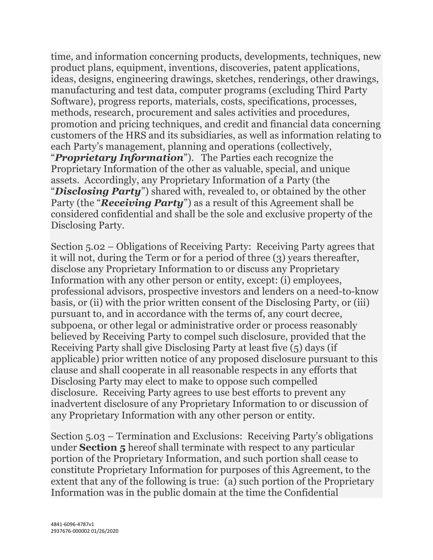time, and information concerning products, developments, techniques, new product plans, equipment, inventions, discoveries, patent applications, ideas, designs, engineering drawings, sketches, renderings, other drawings, manufacturing and test data, computer programs (excluding Third Party Software), progress reports, materials, costs, specifications, processes, methods, research, procurement and sales activities and procedures, promotion and pricing techniques, and credit and financial data concerning customers of the HRS and its subsidiaries, as well as information relating to each Party's management, planning and operations (collectively, "*Proprietary Information*"). The Parties each recognize the Proprietary Information of the other as valuable, special, and unique assets. Accordingly, any Proprietary Information of a Party (the "*Disclosing Party*") shared with, revealed to, or obtained by the other Party (the "*Receiving Party*") as a result of this Agreement shall be considered confidential and shall be the sole and exclusive property of the Disclosing Party.

Section 5.02 – Obligations of Receiving Party: Receiving Party agrees that it will not, during the Term or for a period of three (3) years thereafter, disclose any Proprietary Information to or discuss any Proprietary Information with any other person or entity, except: (i) employees, professional advisors, prospective investors and lenders on a need-to-know basis, or (ii) with the prior written consent of the Disclosing Party, or (iii) pursuant to, and in accordance with the terms of, any court decree, subpoena, or other legal or administrative order or process reasonably believed by Receiving Party to compel such disclosure, provided that the Receiving Party shall give Disclosing Party at least five (5) days (if applicable) prior written notice of any proposed disclosure pursuant to this clause and shall cooperate in all reasonable respects in any efforts that Disclosing Party may elect to make to oppose such compelled disclosure. Receiving Party agrees to use best efforts to prevent any inadvertent disclosure of any Proprietary Information to or discussion of any Proprietary Information with any other person or entity.

Section 5.03 – Termination and Exclusions: Receiving Party's obligations under **Section 5** hereof shall terminate with respect to any particular portion of the Proprietary Information, and such portion shall cease to constitute Proprietary Information for purposes of this Agreement, to the extent that any of the following is true: (a) such portion of the Proprietary Information was in the public domain at the time the Confidential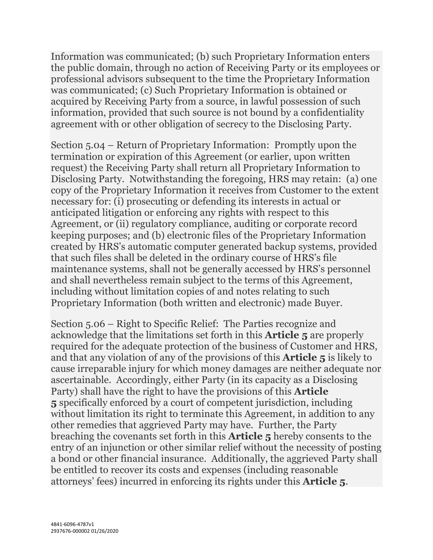Information was communicated; (b) such Proprietary Information enters the public domain, through no action of Receiving Party or its employees or professional advisors subsequent to the time the Proprietary Information was communicated; (c) Such Proprietary Information is obtained or acquired by Receiving Party from a source, in lawful possession of such information, provided that such source is not bound by a confidentiality agreement with or other obligation of secrecy to the Disclosing Party.

Section 5.04 – Return of Proprietary Information: Promptly upon the termination or expiration of this Agreement (or earlier, upon written request) the Receiving Party shall return all Proprietary Information to Disclosing Party. Notwithstanding the foregoing, HRS may retain: (a) one copy of the Proprietary Information it receives from Customer to the extent necessary for: (i) prosecuting or defending its interests in actual or anticipated litigation or enforcing any rights with respect to this Agreement, or (ii) regulatory compliance, auditing or corporate record keeping purposes; and (b) electronic files of the Proprietary Information created by HRS's automatic computer generated backup systems, provided that such files shall be deleted in the ordinary course of HRS's file maintenance systems, shall not be generally accessed by HRS's personnel and shall nevertheless remain subject to the terms of this Agreement, including without limitation copies of and notes relating to such Proprietary Information (both written and electronic) made Buyer.

Section 5.06 – Right to Specific Relief: The Parties recognize and acknowledge that the limitations set forth in this **Article 5** are properly required for the adequate protection of the business of Customer and HRS, and that any violation of any of the provisions of this **Article 5** is likely to cause irreparable injury for which money damages are neither adequate nor ascertainable. Accordingly, either Party (in its capacity as a Disclosing Party) shall have the right to have the provisions of this **Article 5** specifically enforced by a court of competent jurisdiction, including without limitation its right to terminate this Agreement, in addition to any other remedies that aggrieved Party may have. Further, the Party breaching the covenants set forth in this **Article 5** hereby consents to the entry of an injunction or other similar relief without the necessity of posting a bond or other financial insurance. Additionally, the aggrieved Party shall be entitled to recover its costs and expenses (including reasonable attorneys' fees) incurred in enforcing its rights under this **Article 5**.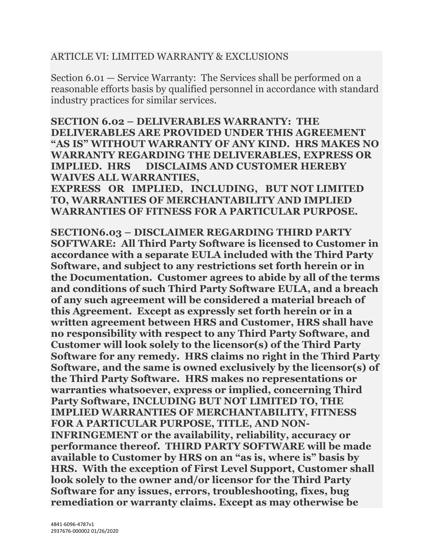#### ARTICLE VI: LIMITED WARRANTY & EXCLUSIONS

Section 6.01 — Service Warranty: The Services shall be performed on a reasonable efforts basis by qualified personnel in accordance with standard industry practices for similar services.

#### **SECTION 6.02 – DELIVERABLES WARRANTY: THE DELIVERABLES ARE PROVIDED UNDER THIS AGREEMENT "AS IS" WITHOUT WARRANTY OF ANY KIND. HRS MAKES NO WARRANTY REGARDING THE DELIVERABLES, EXPRESS OR IMPLIED. HRS DISCLAIMS AND CUSTOMER HEREBY WAIVES ALL WARRANTIES,**

**EXPRESS OR IMPLIED, INCLUDING, BUT NOT LIMITED TO, WARRANTIES OF MERCHANTABILITY AND IMPLIED WARRANTIES OF FITNESS FOR A PARTICULAR PURPOSE.**

**SECTION6.03 – DISCLAIMER REGARDING THIRD PARTY SOFTWARE: All Third Party Software is licensed to Customer in accordance with a separate EULA included with the Third Party Software, and subject to any restrictions set forth herein or in the Documentation. Customer agrees to abide by all of the terms and conditions of such Third Party Software EULA, and a breach of any such agreement will be considered a material breach of this Agreement. Except as expressly set forth herein or in a written agreement between HRS and Customer, HRS shall have no responsibility with respect to any Third Party Software, and Customer will look solely to the licensor(s) of the Third Party Software for any remedy. HRS claims no right in the Third Party Software, and the same is owned exclusively by the licensor(s) of the Third Party Software. HRS makes no representations or warranties whatsoever, express or implied, concerning Third Party Software, INCLUDING BUT NOT LIMITED TO, THE IMPLIED WARRANTIES OF MERCHANTABILITY, FITNESS FOR A PARTICULAR PURPOSE, TITLE, AND NON-INFRINGEMENT or the availability, reliability, accuracy or performance thereof. THIRD PARTY SOFTWARE will be made available to Customer by HRS on an "as is, where is" basis by HRS. With the exception of First Level Support, Customer shall look solely to the owner and/or licensor for the Third Party Software for any issues, errors, troubleshooting, fixes, bug remediation or warranty claims. Except as may otherwise be**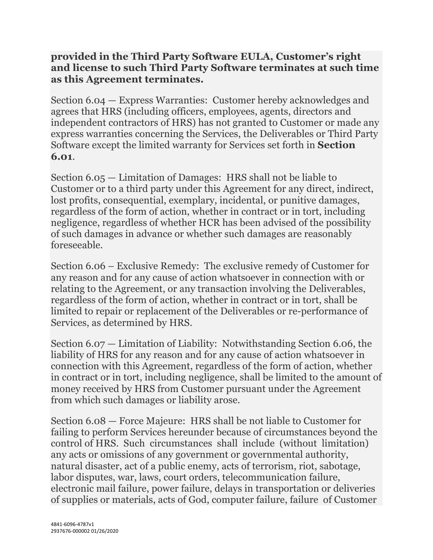### **provided in the Third Party Software EULA, Customer's right and license to such Third Party Software terminates at such time as this Agreement terminates.**

Section 6.04 — Express Warranties: Customer hereby acknowledges and agrees that HRS (including officers, employees, agents, directors and independent contractors of HRS) has not granted to Customer or made any express warranties concerning the Services, the Deliverables or Third Party Software except the limited warranty for Services set forth in **Section 6.01**.

Section 6.05 — Limitation of Damages: HRS shall not be liable to Customer or to a third party under this Agreement for any direct, indirect, lost profits, consequential, exemplary, incidental, or punitive damages, regardless of the form of action, whether in contract or in tort, including negligence, regardless of whether HCR has been advised of the possibility of such damages in advance or whether such damages are reasonably foreseeable.

Section 6.06 – Exclusive Remedy: The exclusive remedy of Customer for any reason and for any cause of action whatsoever in connection with or relating to the Agreement, or any transaction involving the Deliverables, regardless of the form of action, whether in contract or in tort, shall be limited to repair or replacement of the Deliverables or re-performance of Services, as determined by HRS.

Section 6.07 — Limitation of Liability: Notwithstanding Section 6.06, the liability of HRS for any reason and for any cause of action whatsoever in connection with this Agreement, regardless of the form of action, whether in contract or in tort, including negligence, shall be limited to the amount of money received by HRS from Customer pursuant under the Agreement from which such damages or liability arose.

Section 6.08 — Force Majeure: HRS shall be not liable to Customer for failing to perform Services hereunder because of circumstances beyond the control of HRS. Such circumstances shall include (without limitation) any acts or omissions of any government or governmental authority, natural disaster, act of a public enemy, acts of terrorism, riot, sabotage, labor disputes, war, laws, court orders, telecommunication failure, electronic mail failure, power failure, delays in transportation or deliveries of supplies or materials, acts of God, computer failure, failure of Customer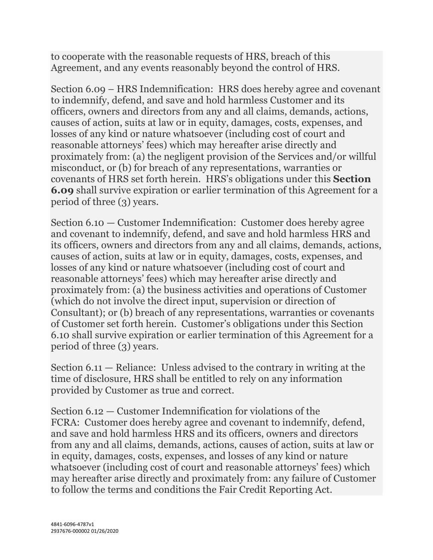to cooperate with the reasonable requests of HRS, breach of this Agreement, and any events reasonably beyond the control of HRS.

Section 6.09 – HRS Indemnification: HRS does hereby agree and covenant to indemnify, defend, and save and hold harmless Customer and its officers, owners and directors from any and all claims, demands, actions, causes of action, suits at law or in equity, damages, costs, expenses, and losses of any kind or nature whatsoever (including cost of court and reasonable attorneys' fees) which may hereafter arise directly and proximately from: (a) the negligent provision of the Services and/or willful misconduct, or (b) for breach of any representations, warranties or covenants of HRS set forth herein. HRS's obligations under this **Section 6.09** shall survive expiration or earlier termination of this Agreement for a period of three (3) years.

Section 6.10 — Customer Indemnification: Customer does hereby agree and covenant to indemnify, defend, and save and hold harmless HRS and its officers, owners and directors from any and all claims, demands, actions, causes of action, suits at law or in equity, damages, costs, expenses, and losses of any kind or nature whatsoever (including cost of court and reasonable attorneys' fees) which may hereafter arise directly and proximately from: (a) the business activities and operations of Customer (which do not involve the direct input, supervision or direction of Consultant); or (b) breach of any representations, warranties or covenants of Customer set forth herein. Customer's obligations under this Section 6.10 shall survive expiration or earlier termination of this Agreement for a period of three (3) years.

Section 6.11 — Reliance: Unless advised to the contrary in writing at the time of disclosure, HRS shall be entitled to rely on any information provided by Customer as true and correct.

Section 6.12 — Customer Indemnification for violations of the FCRA: Customer does hereby agree and covenant to indemnify, defend, and save and hold harmless HRS and its officers, owners and directors from any and all claims, demands, actions, causes of action, suits at law or in equity, damages, costs, expenses, and losses of any kind or nature whatsoever (including cost of court and reasonable attorneys' fees) which may hereafter arise directly and proximately from: any failure of Customer to follow the terms and conditions the Fair Credit Reporting Act.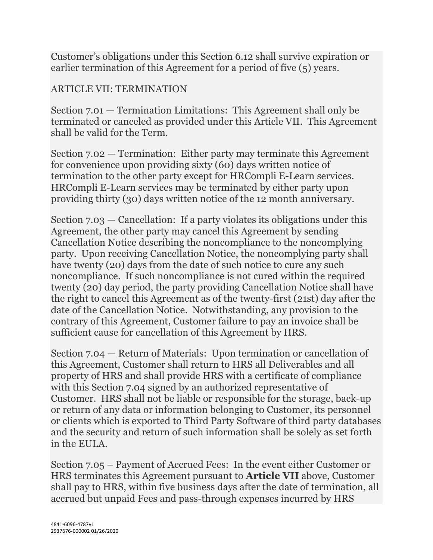Customer's obligations under this Section 6.12 shall survive expiration or earlier termination of this Agreement for a period of five (5) years.

### ARTICLE VII: TERMINATION

Section 7.01 — Termination Limitations: This Agreement shall only be terminated or canceled as provided under this Article VII. This Agreement shall be valid for the Term.

Section 7.02 — Termination: Either party may terminate this Agreement for convenience upon providing sixty (60) days written notice of termination to the other party except for HRCompli E-Learn services. HRCompli E-Learn services may be terminated by either party upon providing thirty (30) days written notice of the 12 month anniversary.

Section 7.03 — Cancellation: If a party violates its obligations under this Agreement, the other party may cancel this Agreement by sending Cancellation Notice describing the noncompliance to the noncomplying party. Upon receiving Cancellation Notice, the noncomplying party shall have twenty (20) days from the date of such notice to cure any such noncompliance. If such noncompliance is not cured within the required twenty (20) day period, the party providing Cancellation Notice shall have the right to cancel this Agreement as of the twenty-first (21st) day after the date of the Cancellation Notice. Notwithstanding, any provision to the contrary of this Agreement, Customer failure to pay an invoice shall be sufficient cause for cancellation of this Agreement by HRS.

Section 7.04 — Return of Materials: Upon termination or cancellation of this Agreement, Customer shall return to HRS all Deliverables and all property of HRS and shall provide HRS with a certificate of compliance with this Section 7.04 signed by an authorized representative of Customer. HRS shall not be liable or responsible for the storage, back-up or return of any data or information belonging to Customer, its personnel or clients which is exported to Third Party Software of third party databases and the security and return of such information shall be solely as set forth in the EULA.

Section 7.05 – Payment of Accrued Fees: In the event either Customer or HRS terminates this Agreement pursuant to **Article VII** above, Customer shall pay to HRS, within five business days after the date of termination, all accrued but unpaid Fees and pass-through expenses incurred by HRS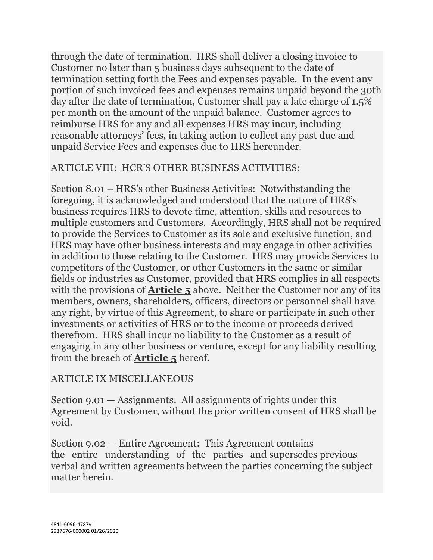through the date of termination. HRS shall deliver a closing invoice to Customer no later than 5 business days subsequent to the date of termination setting forth the Fees and expenses payable. In the event any portion of such invoiced fees and expenses remains unpaid beyond the 30th day after the date of termination, Customer shall pay a late charge of 1.5% per month on the amount of the unpaid balance. Customer agrees to reimburse HRS for any and all expenses HRS may incur, including reasonable attorneys' fees, in taking action to collect any past due and unpaid Service Fees and expenses due to HRS hereunder.

### ARTICLE VIII: HCR'S OTHER BUSINESS ACTIVITIES:

Section 8.01 – HRS's other Business Activities: Notwithstanding the foregoing, it is acknowledged and understood that the nature of HRS's business requires HRS to devote time, attention, skills and resources to multiple customers and Customers. Accordingly, HRS shall not be required to provide the Services to Customer as its sole and exclusive function, and HRS may have other business interests and may engage in other activities in addition to those relating to the Customer. HRS may provide Services to competitors of the Customer, or other Customers in the same or similar fields or industries as Customer, provided that HRS complies in all respects with the provisions of **Article 5** above. Neither the Customer nor any of its members, owners, shareholders, officers, directors or personnel shall have any right, by virtue of this Agreement, to share or participate in such other investments or activities of HRS or to the income or proceeds derived therefrom. HRS shall incur no liability to the Customer as a result of engaging in any other business or venture, except for any liability resulting from the breach of **Article 5** hereof.

### ARTICLE IX MISCELLANEOUS

Section 9.01 — Assignments: All assignments of rights under this Agreement by Customer, without the prior written consent of HRS shall be void.

Section 9.02 — Entire Agreement: This Agreement contains the entire understanding of the parties and supersedes previous verbal and written agreements between the parties concerning the subject matter herein.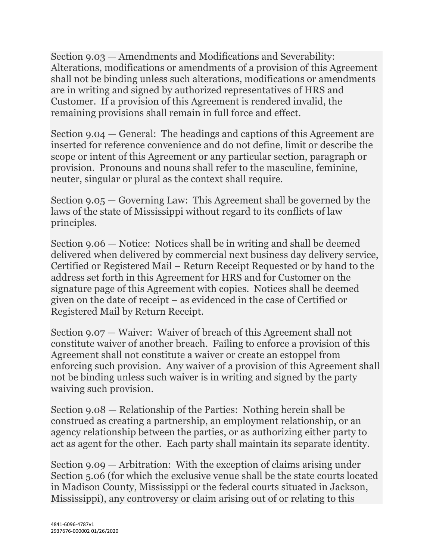Section 9.03 — Amendments and Modifications and Severability: Alterations, modifications or amendments of a provision of this Agreement shall not be binding unless such alterations, modifications or amendments are in writing and signed by authorized representatives of HRS and Customer. If a provision of this Agreement is rendered invalid, the remaining provisions shall remain in full force and effect.

Section 9.04 — General: The headings and captions of this Agreement are inserted for reference convenience and do not define, limit or describe the scope or intent of this Agreement or any particular section, paragraph or provision. Pronouns and nouns shall refer to the masculine, feminine, neuter, singular or plural as the context shall require.

Section 9.05 — Governing Law: This Agreement shall be governed by the laws of the state of Mississippi without regard to its conflicts of law principles.

Section 9.06 — Notice: Notices shall be in writing and shall be deemed delivered when delivered by commercial next business day delivery service, Certified or Registered Mail – Return Receipt Requested or by hand to the address set forth in this Agreement for HRS and for Customer on the signature page of this Agreement with copies. Notices shall be deemed given on the date of receipt – as evidenced in the case of Certified or Registered Mail by Return Receipt.

Section 9.07 — Waiver: Waiver of breach of this Agreement shall not constitute waiver of another breach. Failing to enforce a provision of this Agreement shall not constitute a waiver or create an estoppel from enforcing such provision. Any waiver of a provision of this Agreement shall not be binding unless such waiver is in writing and signed by the party waiving such provision.

Section 9.08 — Relationship of the Parties: Nothing herein shall be construed as creating a partnership, an employment relationship, or an agency relationship between the parties, or as authorizing either party to act as agent for the other. Each party shall maintain its separate identity.

Section 9.09 — Arbitration: With the exception of claims arising under Section 5.06 (for which the exclusive venue shall be the state courts located in Madison County, Mississippi or the federal courts situated in Jackson, Mississippi), any controversy or claim arising out of or relating to this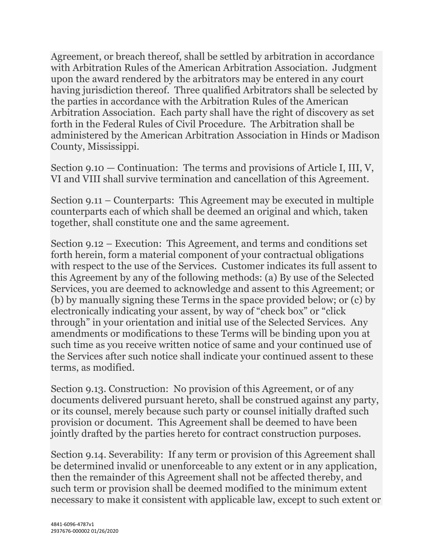Agreement, or breach thereof, shall be settled by arbitration in accordance with Arbitration Rules of the American Arbitration Association. Judgment upon the award rendered by the arbitrators may be entered in any court having jurisdiction thereof. Three qualified Arbitrators shall be selected by the parties in accordance with the Arbitration Rules of the American Arbitration Association. Each party shall have the right of discovery as set forth in the Federal Rules of Civil Procedure. The Arbitration shall be administered by the American Arbitration Association in Hinds or Madison County, Mississippi.

Section 9.10 — Continuation: The terms and provisions of Article I, III, V, VI and VIII shall survive termination and cancellation of this Agreement.

Section 9.11 – Counterparts: This Agreement may be executed in multiple counterparts each of which shall be deemed an original and which, taken together, shall constitute one and the same agreement.

Section 9.12 – Execution: This Agreement, and terms and conditions set forth herein, form a material component of your contractual obligations with respect to the use of the Services. Customer indicates its full assent to this Agreement by any of the following methods: (a) By use of the Selected Services, you are deemed to acknowledge and assent to this Agreement; or (b) by manually signing these Terms in the space provided below; or (c) by electronically indicating your assent, by way of "check box" or "click through" in your orientation and initial use of the Selected Services. Any amendments or modifications to these Terms will be binding upon you at such time as you receive written notice of same and your continued use of the Services after such notice shall indicate your continued assent to these terms, as modified.

Section 9.13. Construction: No provision of this Agreement, or of any documents delivered pursuant hereto, shall be construed against any party, or its counsel, merely because such party or counsel initially drafted such provision or document. This Agreement shall be deemed to have been jointly drafted by the parties hereto for contract construction purposes.

Section 9.14. Severability: If any term or provision of this Agreement shall be determined invalid or unenforceable to any extent or in any application, then the remainder of this Agreement shall not be affected thereby, and such term or provision shall be deemed modified to the minimum extent necessary to make it consistent with applicable law, except to such extent or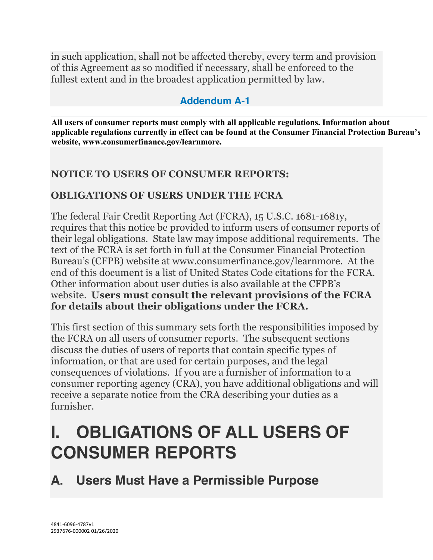in such application, shall not be affected thereby, every term and provision of this Agreement as so modified if necessary, shall be enforced to the fullest extent and in the broadest application permitted by law.

### **Addendum A-1**

**All users of consumer reports must comply with all applicable regulations. Information about applicable regulations currently in effect can be found at the Consumer Financial Protection Bureau's website, www.consumerfinance.gov/learnmore.**

## **NOTICE TO USERS OF CONSUMER REPORTS:**

## **OBLIGATIONS OF USERS UNDER THE FCRA**

The federal Fair Credit Reporting Act (FCRA), 15 U.S.C. 1681-1681y, requires that this notice be provided to inform users of consumer reports of their legal obligations. State law may impose additional requirements. The text of the FCRA is set forth in full at the Consumer Financial Protection Bureau's (CFPB) website at www.consumerfinance.gov/learnmore. At the end of this document is a list of United States Code citations for the FCRA. Other information about user duties is also available at the CFPB's website. **Users must consult the relevant provisions of the FCRA for details about their obligations under the FCRA.**

This first section of this summary sets forth the responsibilities imposed by the FCRA on all users of consumer reports. The subsequent sections discuss the duties of users of reports that contain specific types of information, or that are used for certain purposes, and the legal consequences of violations. If you are a furnisher of information to a consumer reporting agency (CRA), you have additional obligations and will receive a separate notice from the CRA describing your duties as a furnisher.

# **I. OBLIGATIONS OF ALL USERS OF CONSUMER REPORTS**

**A. Users Must Have a Permissible Purpose**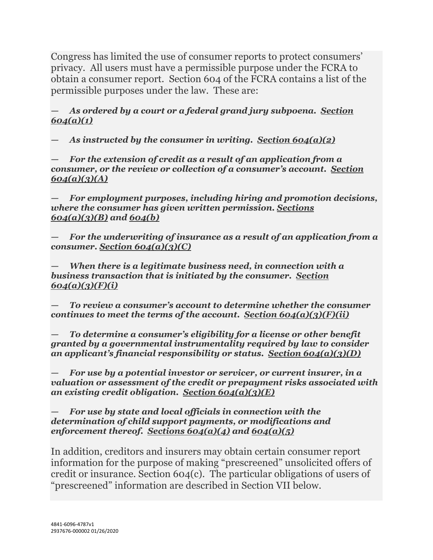Congress has limited the use of consumer reports to protect consumers' privacy. All users must have a permissible purpose under the FCRA to obtain a consumer report. Section 604 of the FCRA contains a list of the permissible purposes under the law. These are:

#### *— As ordered by a court or a federal grand jury subpoena. Section 604(a)(1)*

*— As instructed by the consumer in writing. Section 604(a)(2)*

For the extension of credit as a result of an application from a *consumer, or the review or collection of a consumer's account. Section 604(a)(3)(A)*

*— For employment purposes, including hiring and promotion decisions, where the consumer has given written permission. Sections 604(a)(3)(B) and 604(b)*

*— For the underwriting of insurance as a result of an application from a consumer. Section 604(a)(3)(C)*

*When there is a legitimate business need, in connection with a business transaction that is initiated by the consumer. Section 604(a)(3)(F)(i)*

*— To review a consumer's account to determine whether the consumer continues to meet the terms of the account. Section 604(a)(3)(F)(ii)*

*— To determine a consumer's eligibility for a license or other benefit granted by a governmental instrumentality required by law to consider an applicant's financial responsibility or status. Section 604(a)(3)(D)*

*— For use by a potential investor or servicer, or current insurer, in a valuation or assessment of the credit or prepayment risks associated with an existing credit obligation. Section 604(a)(3)(E)*

#### *— For use by state and local officials in connection with the determination of child support payments, or modifications and enforcement thereof. Sections 604(a)(4) and 604(a)(5)*

In addition, creditors and insurers may obtain certain consumer report information for the purpose of making "prescreened" unsolicited offers of credit or insurance. Section 604(c). The particular obligations of users of "prescreened" information are described in Section VII below.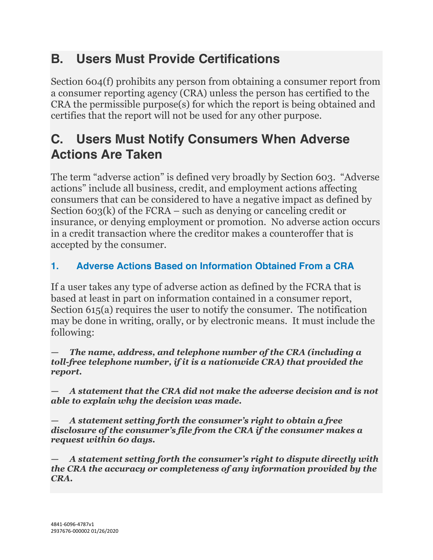## **B. Users Must Provide Certifications**

Section 604(f) prohibits any person from obtaining a consumer report from a consumer reporting agency (CRA) unless the person has certified to the CRA the permissible purpose(s) for which the report is being obtained and certifies that the report will not be used for any other purpose.

## **C. Users Must Notify Consumers When Adverse Actions Are Taken**

The term "adverse action" is defined very broadly by Section 603. "Adverse actions" include all business, credit, and employment actions affecting consumers that can be considered to have a negative impact as defined by Section 603(k) of the FCRA – such as denying or canceling credit or insurance, or denying employment or promotion. No adverse action occurs in a credit transaction where the creditor makes a counteroffer that is accepted by the consumer.

## **1. Adverse Actions Based on Information Obtained From a CRA**

If a user takes any type of adverse action as defined by the FCRA that is based at least in part on information contained in a consumer report, Section 615(a) requires the user to notify the consumer. The notification may be done in writing, orally, or by electronic means. It must include the following:

*— The name, address, and telephone number of the CRA (including a toll-free telephone number, if it is a nationwide CRA) that provided the report.*

*— A statement that the CRA did not make the adverse decision and is not able to explain why the decision was made.*

*— A statement setting forth the consumer's right to obtain a free disclosure of the consumer's file from the CRA if the consumer makes a request within 60 days.*

*— A statement setting forth the consumer's right to dispute directly with the CRA the accuracy or completeness of any information provided by the CRA.*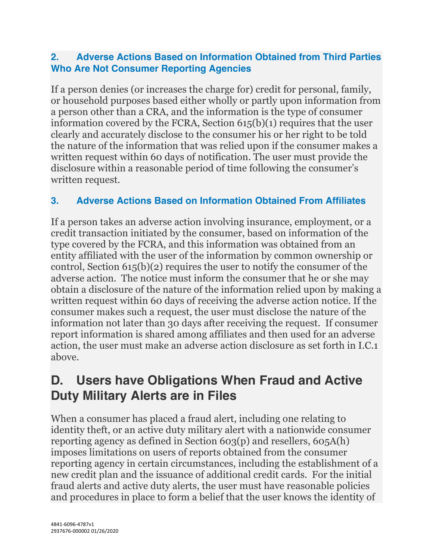### **2. Adverse Actions Based on Information Obtained from Third Parties Who Are Not Consumer Reporting Agencies**

If a person denies (or increases the charge for) credit for personal, family, or household purposes based either wholly or partly upon information from a person other than a CRA, and the information is the type of consumer information covered by the FCRA, Section 615(b)(1) requires that the user clearly and accurately disclose to the consumer his or her right to be told the nature of the information that was relied upon if the consumer makes a written request within 60 days of notification. The user must provide the disclosure within a reasonable period of time following the consumer's written request.

### **3. Adverse Actions Based on Information Obtained From Affiliates**

If a person takes an adverse action involving insurance, employment, or a credit transaction initiated by the consumer, based on information of the type covered by the FCRA, and this information was obtained from an entity affiliated with the user of the information by common ownership or control, Section 615(b)(2) requires the user to notify the consumer of the adverse action. The notice must inform the consumer that he or she may obtain a disclosure of the nature of the information relied upon by making a written request within 60 days of receiving the adverse action notice. If the consumer makes such a request, the user must disclose the nature of the information not later than 30 days after receiving the request. If consumer report information is shared among affiliates and then used for an adverse action, the user must make an adverse action disclosure as set forth in I.C.1 above.

## **D. Users have Obligations When Fraud and Active Duty Military Alerts are in Files**

When a consumer has placed a fraud alert, including one relating to identity theft, or an active duty military alert with a nationwide consumer reporting agency as defined in Section 603(p) and resellers, 605A(h) imposes limitations on users of reports obtained from the consumer reporting agency in certain circumstances, including the establishment of a new credit plan and the issuance of additional credit cards. For the initial fraud alerts and active duty alerts, the user must have reasonable policies and procedures in place to form a belief that the user knows the identity of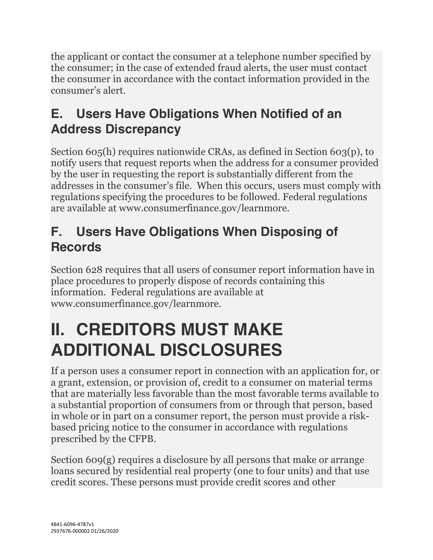the applicant or contact the consumer at a telephone number specified by the consumer; in the case of extended fraud alerts, the user must contact the consumer in accordance with the contact information provided in the consumer's alert.

# **E. Users Have Obligations When Notified of an Address Discrepancy**

Section 605(h) requires nationwide CRAs, as defined in Section 603(p), to notify users that request reports when the address for a consumer provided by the user in requesting the report is substantially different from the addresses in the consumer's file. When this occurs, users must comply with regulations specifying the procedures to be followed. Federal regulations are available at www.consumerfinance.gov/learnmore.

## **F. Users Have Obligations When Disposing of Records**

Section 628 requires that all users of consumer report information have in place procedures to properly dispose of records containing this information. Federal regulations are available at www.consumerfinance.gov/learnmore.

# **II. CREDITORS MUST MAKE ADDITIONAL DISCLOSURES**

If a person uses a consumer report in connection with an application for, or a grant, extension, or provision of, credit to a consumer on material terms that are materially less favorable than the most favorable terms available to a substantial proportion of consumers from or through that person, based in whole or in part on a consumer report, the person must provide a riskbased pricing notice to the consumer in accordance with regulations prescribed by the CFPB.

Section 609(g) requires a disclosure by all persons that make or arrange loans secured by residential real property (one to four units) and that use credit scores. These persons must provide credit scores and other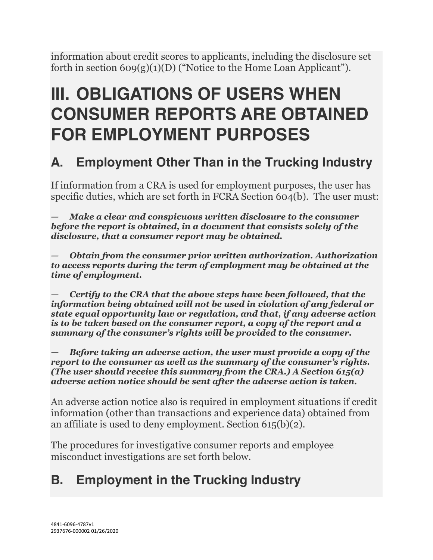information about credit scores to applicants, including the disclosure set forth in section 609(g)(1)(D) ("Notice to the Home Loan Applicant").

# **III. OBLIGATIONS OF USERS WHEN CONSUMER REPORTS ARE OBTAINED FOR EMPLOYMENT PURPOSES**

# **A. Employment Other Than in the Trucking Industry**

If information from a CRA is used for employment purposes, the user has specific duties, which are set forth in FCRA Section 604(b). The user must:

*— Make a clear and conspicuous written disclosure to the consumer before the report is obtained, in a document that consists solely of the disclosure, that a consumer report may be obtained.*

*— Obtain from the consumer prior written authorization. Authorization to access reports during the term of employment may be obtained at the time of employment.*

*— Certify to the CRA that the above steps have been followed, that the information being obtained will not be used in violation of any federal or state equal opportunity law or regulation, and that, if any adverse action is to be taken based on the consumer report, a copy of the report and a summary of the consumer's rights will be provided to the consumer.*

*— Before taking an adverse action, the user must provide a copy of the report to the consumer as well as the summary of the consumer's rights. (The user should receive this summary from the CRA.) A Section 615(a) adverse action notice should be sent after the adverse action is taken.*

An adverse action notice also is required in employment situations if credit information (other than transactions and experience data) obtained from an affiliate is used to deny employment. Section 615(b)(2).

The procedures for investigative consumer reports and employee misconduct investigations are set forth below.

## **B. Employment in the Trucking Industry**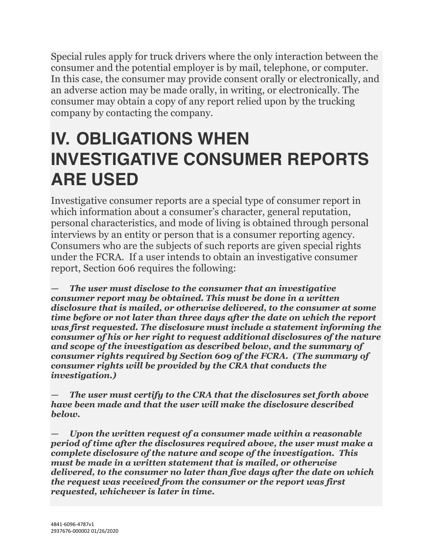Special rules apply for truck drivers where the only interaction between the consumer and the potential employer is by mail, telephone, or computer. In this case, the consumer may provide consent orally or electronically, and an adverse action may be made orally, in writing, or electronically. The consumer may obtain a copy of any report relied upon by the trucking company by contacting the company.

# **IV. OBLIGATIONS WHEN INVESTIGATIVE CONSUMER REPORTS ARE USED**

Investigative consumer reports are a special type of consumer report in which information about a consumer's character, general reputation, personal characteristics, and mode of living is obtained through personal interviews by an entity or person that is a consumer reporting agency. Consumers who are the subjects of such reports are given special rights under the FCRA. If a user intends to obtain an investigative consumer report, Section 606 requires the following:

*— The user must disclose to the consumer that an investigative consumer report may be obtained. This must be done in a written disclosure that is mailed, or otherwise delivered, to the consumer at some time before or not later than three days after the date on which the report was first requested. The disclosure must include a statement informing the consumer of his or her right to request additional disclosures of the nature and scope of the investigation as described below, and the summary of consumer rights required by Section 609 of the FCRA. (The summary of consumer rights will be provided by the CRA that conducts the investigation.)*

*— The user must certify to the CRA that the disclosures set forth above have been made and that the user will make the disclosure described below.*

*— Upon the written request of a consumer made within a reasonable period of time after the disclosures required above, the user must make a complete disclosure of the nature and scope of the investigation. This must be made in a written statement that is mailed, or otherwise delivered, to the consumer no later than five days after the date on which the request was received from the consumer or the report was first requested, whichever is later in time.*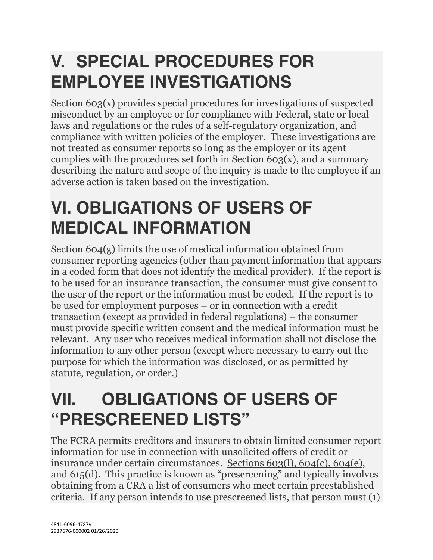# **V. SPECIAL PROCEDURES FOR EMPLOYEE INVESTIGATIONS**

Section 603(x) provides special procedures for investigations of suspected misconduct by an employee or for compliance with Federal, state or local laws and regulations or the rules of a self-regulatory organization, and compliance with written policies of the employer. These investigations are not treated as consumer reports so long as the employer or its agent complies with the procedures set forth in Section  $603(x)$ , and a summary describing the nature and scope of the inquiry is made to the employee if an adverse action is taken based on the investigation.

# **VI. OBLIGATIONS OF USERS OF MEDICAL INFORMATION**

Section 604(g) limits the use of medical information obtained from consumer reporting agencies (other than payment information that appears in a coded form that does not identify the medical provider). If the report is to be used for an insurance transaction, the consumer must give consent to the user of the report or the information must be coded. If the report is to be used for employment purposes – or in connection with a credit transaction (except as provided in federal regulations) – the consumer must provide specific written consent and the medical information must be relevant. Any user who receives medical information shall not disclose the information to any other person (except where necessary to carry out the purpose for which the information was disclosed, or as permitted by statute, regulation, or order.)

# **VII. OBLIGATIONS OF USERS OF "PRESCREENED LISTS"**

The FCRA permits creditors and insurers to obtain limited consumer report information for use in connection with unsolicited offers of credit or insurance under certain circumstances. Sections 603(l), 604(c), 604(e), and 615(d). This practice is known as "prescreening" and typically involves obtaining from a CRA a list of consumers who meet certain preestablished criteria. If any person intends to use prescreened lists, that person must (1)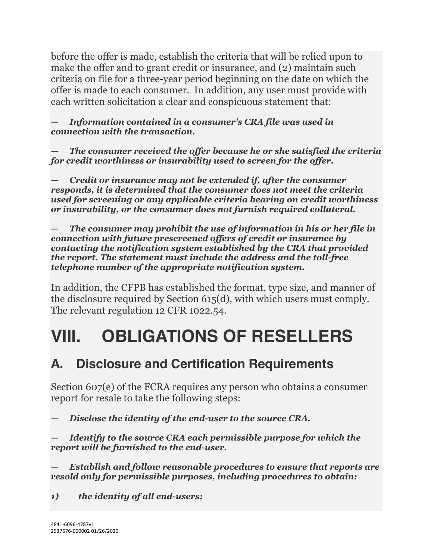before the offer is made, establish the criteria that will be relied upon to make the offer and to grant credit or insurance, and (2) maintain such criteria on file for a three-year period beginning on the date on which the offer is made to each consumer. In addition, any user must provide with each written solicitation a clear and conspicuous statement that:

Information contained in a consumer's CRA file was used in *connection with the transaction.*

*— The consumer received the offer because he or she satisfied the criteria for credit worthiness or insurability used to screen for the offer.*

*Credit or insurance may not be extended if, after the consumer responds, it is determined that the consumer does not meet the criteria used for screening or any applicable criteria bearing on credit worthiness or insurability, or the consumer does not furnish required collateral.*

*— The consumer may prohibit the use of information in his or her file in connection with future prescreened offers of credit or insurance by contacting the notification system established by the CRA that provided the report. The statement must include the address and the toll-free telephone number of the appropriate notification system.*

In addition, the CFPB has established the format, type size, and manner of the disclosure required by Section 615(d), with which users must comply. The relevant regulation 12 CFR 1022.54.

# **VIII. OBLIGATIONS OF RESELLERS**

## **A. Disclosure and Certification Requirements**

Section 607(e) of the FCRA requires any person who obtains a consumer report for resale to take the following steps:

*— Disclose the identity of the end-user to the source CRA.*

*— Identify to the source CRA each permissible purpose for which the report will be furnished to the end-user.*

*— Establish and follow reasonable procedures to ensure that reports are resold only for permissible purposes, including procedures to obtain:*

*1) the identity of all end-users;*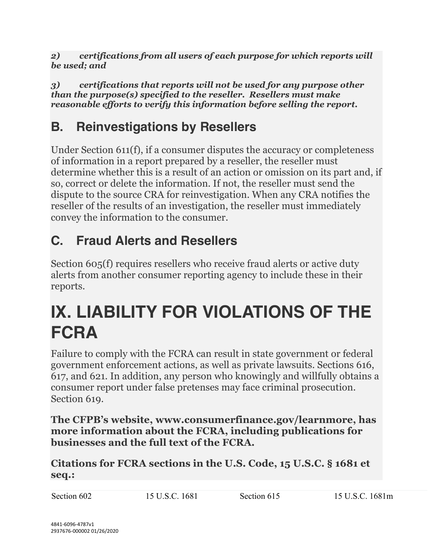*2) certifications from all users of each purpose for which reports will be used; and*

*3) certifications that reports will not be used for any purpose other than the purpose(s) specified to the reseller. Resellers must make reasonable efforts to verify this information before selling the report.*

# **B. Reinvestigations by Resellers**

Under Section 611(f), if a consumer disputes the accuracy or completeness of information in a report prepared by a reseller, the reseller must determine whether this is a result of an action or omission on its part and, if so, correct or delete the information. If not, the reseller must send the dispute to the source CRA for reinvestigation. When any CRA notifies the reseller of the results of an investigation, the reseller must immediately convey the information to the consumer.

# **C. Fraud Alerts and Resellers**

Section 605(f) requires resellers who receive fraud alerts or active duty alerts from another consumer reporting agency to include these in their reports.

# **IX. LIABILITY FOR VIOLATIONS OF THE FCRA**

Failure to comply with the FCRA can result in state government or federal government enforcement actions, as well as private lawsuits. Sections 616, 617, and 621. In addition, any person who knowingly and willfully obtains a consumer report under false pretenses may face criminal prosecution. Section 619.

**The CFPB's website, www.consumerfinance.gov/learnmore, has more information about the FCRA, including publications for businesses and the full text of the FCRA.**

**Citations for FCRA sections in the U.S. Code, 15 U.S.C. § 1681 et seq.:**